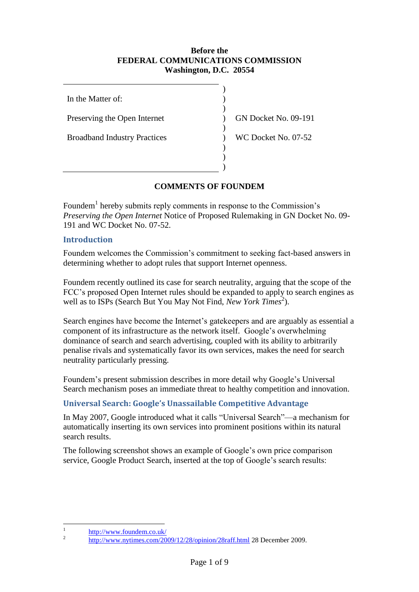#### **Before the FEDERAL COMMUNICATIONS COMMISSION Washington, D.C. 20554**

) ) ) ) ) ) ) ) )

In the Matter of:

Preserving the Open Internet

Broadband Industry Practices

GN Docket No. 09-191

WC Docket No. 07-52

# **COMMENTS OF FOUNDEM**

Foundem<sup>1</sup> hereby submits reply comments in response to the Commission's *Preserving the Open Internet* Notice of Proposed Rulemaking in GN Docket No. 09- 191 and WC Docket No. 07-52.

## **Introduction**

Foundem welcomes the Commission's commitment to seeking fact-based answers in determining whether to adopt rules that support Internet openness.

Foundem recently outlined its case for search neutrality, arguing that the scope of the FCC's proposed Open Internet rules should be expanded to apply to search engines as well as to ISPs (Search But You May Not Find, *New York Times*<sup>2</sup>).

Search engines have become the Internet's gatekeepers and are arguably as essential a component of its infrastructure as the network itself. Google's overwhelming dominance of search and search advertising, coupled with its ability to arbitrarily penalise rivals and systematically favor its own services, makes the need for search neutrality particularly pressing.

Foundem's present submission describes in more detail why Google's Universal Search mechanism poses an immediate threat to healthy competition and innovation.

## **Universal Search: Google's Unassailable Competitive Advantage**

In May 2007, Google introduced what it calls "Universal Search"—a mechanism for automatically inserting its own services into prominent positions within its natural search results.

The following screenshot shows an example of Google's own price comparison service, Google Product Search, inserted at the top of Google's search results:

 $\frac{1}{1}$ <http://www.foundem.co.uk/>

 $\overline{2}$ <http://www.nytimes.com/2009/12/28/opinion/28raff.html> 28 December 2009.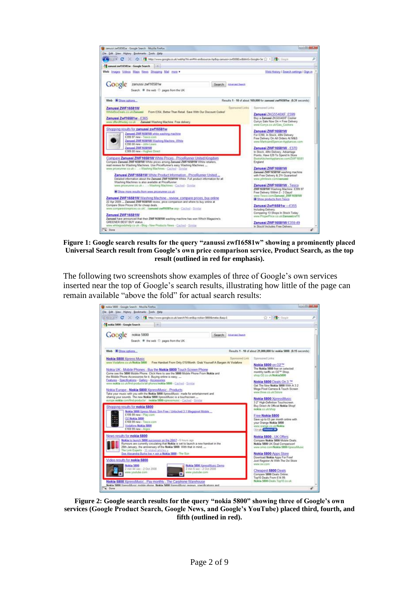

**Figure 1: Google search results for the query "zanussi zwf16581w" showing a prominently placed Universal Search result from Google's own price comparison service, Product Search, as the top result (outlined in red for emphasis).**

The following two screenshots show examples of three of Google's own services inserted near the top of Google's search results, illustrating how little of the page can remain available "above the fold" for actual search results:



**Figure 2: Google search results for the query "nokia 5800" showing three of Google's own services (Google Product Search, Google News, and Google's YouTube) placed third, fourth, and fifth (outlined in red).**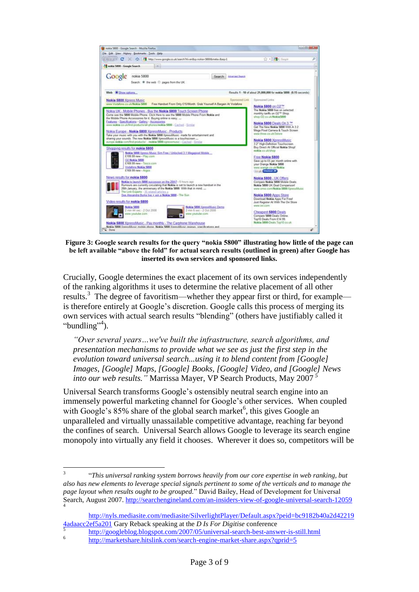

**Figure 3: Google search results for the query "nokia 5800" illustrating how little of the page can be left available "above the fold" for actual search results (outlined in green) after Google has inserted its own services and sponsored links.**

Crucially, Google determines the exact placement of its own services independently of the ranking algorithms it uses to determine the relative placement of all other results.<sup>3</sup> The degree of favoritism—whether they appear first or third, for example is therefore entirely at Google's discretion. Google calls this process of merging its own services with actual search results "blending" (others have justifiably called it "bundling"<sup>4</sup>).

*"Over several years…we've built the infrastructure, search algorithms, and presentation mechanisms to provide what we see as just the first step in the evolution toward universal search...using it to blend content from [Google] Images, [Google] Maps, [Google] Books, [Google] Video, and [Google] News into our web results.*" Marrissa Mayer, VP Search Products, May 2007 <sup>5</sup>

Universal Search transforms Google's ostensibly neutral search engine into an immensely powerful marketing channel for Google's other services. When coupled with Google's  $85\%$  share of the global search market<sup>6</sup>, this gives Google an unparalleled and virtually unassailable competitive advantage, reaching far beyond the confines of search. Universal Search allows Google to leverage its search engine monopoly into virtually any field it chooses. Wherever it does so, competitors will be

 3 "*This universal ranking system borrows heavily from our core expertise in web ranking, but also has new elements to leverage special signals pertinent to some of the verticals and to manage the page layout when results ought to be grouped.*" David Bailey, Head of Development for Universal Search, August 2007[. http://searchengineland.com/an-insiders-view-of-google-universal-search-12059](http://searchengineland.com/an-insiders-view-of-google-universal-search-12059)  4

[http://nyls.mediasite.com/mediasite/SilverlightPlayer/Default.aspx?peid=bc9182b40a2d42219](http://nyls.mediasite.com/mediasite/SilverlightPlayer/Default.aspx?peid=bc9182b40a2d422194adaacc2ef5a201) [4adaacc2ef5a201](http://nyls.mediasite.com/mediasite/SilverlightPlayer/Default.aspx?peid=bc9182b40a2d422194adaacc2ef5a201) Gary Reback speaking at the *D Is For Digitise* conference 5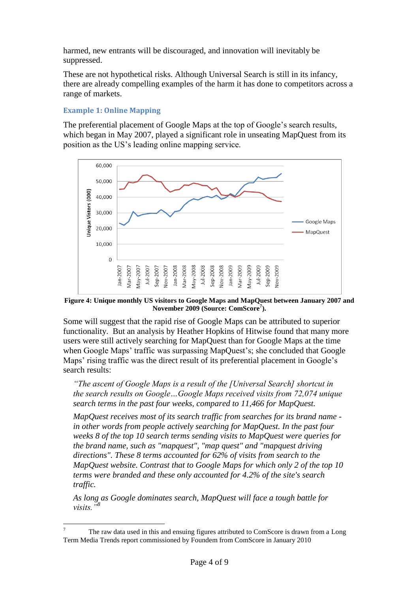harmed, new entrants will be discouraged, and innovation will inevitably be suppressed.

These are not hypothetical risks. Although Universal Search is still in its infancy, there are already compelling examples of the harm it has done to competitors across a range of markets.

### **Example 1: Online Mapping**

The preferential placement of Google Maps at the top of Google's search results, which began in May 2007, played a significant role in unseating MapQuest from its position as the US's leading online mapping service.



**Figure 4: Unique monthly US visitors to Google Maps and MapQuest between January 2007 and November 2009 (Source: ComScore<sup>7</sup> ).**

Some will suggest that the rapid rise of Google Maps can be attributed to superior functionality. But an analysis by Heather Hopkins of Hitwise found that many more users were still actively searching for MapQuest than for Google Maps at the time when Google Maps' traffic was surpassing MapQuest's; she concluded that Google Maps' rising traffic was the direct result of its preferential placement in Google's search results:

*"The ascent of Google Maps is a result of the [Universal Search] shortcut in the search results on Google…Google Maps received visits from 72,074 unique search terms in the past four weeks, compared to 11,466 for MapQuest.* 

*MapQuest receives most of its search traffic from searches for its brand name in other words from people actively searching for MapQuest. In the past four weeks 8 of the top 10 search terms sending visits to MapQuest were queries for the brand name, such as "mapquest", "map quest" and "mapquest driving directions". These 8 terms accounted for 62% of visits from search to the MapQuest website. Contrast that to Google Maps for which only 2 of the top 10 terms were branded and these only accounted for 4.2% of the site's search traffic.* 

*As long as Google dominates search, MapQuest will face a tough battle for visits."<sup>8</sup>*

 $\overline{\tau}$ <sup>7</sup> The raw data used in this and ensuing figures attributed to ComScore is drawn from a Long Term Media Trends report commissioned by Foundem from ComScore in January 2010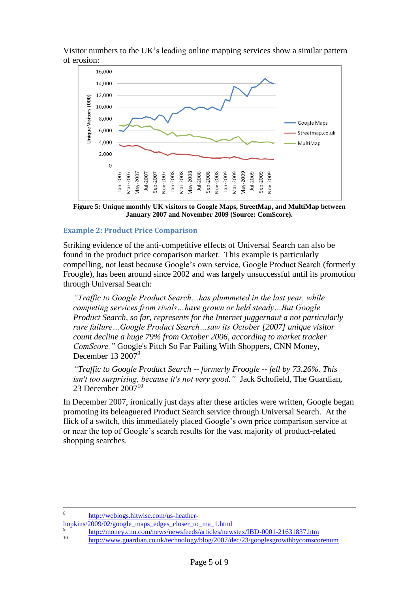Visitor numbers to the UK's leading online mapping services show a similar pattern of erosion:



**Figure 5: Unique monthly UK visitors to Google Maps, StreetMap, and MultiMap between January 2007 and November 2009 (Source: ComScore).**

## **Example 2: Product Price Comparison**

Striking evidence of the anti-competitive effects of Universal Search can also be found in the product price comparison market. This example is particularly compelling, not least because Google's own service, Google Product Search (formerly Froogle), has been around since 2002 and was largely unsuccessful until its promotion through Universal Search:

*"Traffic to Google Product Search…has plummeted in the last year, while competing services from rivals…have grown or held steady…But Google Product Search, so far, represents for the Internet juggernaut a not particularly rare failure…Google Product Search…saw its October [2007] unique visitor count decline a huge 79% from October 2006, according to market tracker ComScore."* Google's Pitch So Far Failing With Shoppers, CNN Money, December 13 2007<sup>9</sup>

*"Traffic to Google Product Search -- formerly Froogle -- fell by 73.26%. This isn't too surprising, because it's not very good."* Jack Schofield, The Guardian, 23 December 2007<sup>10</sup>

In December 2007, ironically just days after these articles were written, Google began promoting its beleaguered Product Search service through Universal Search. At the flick of a switch, this immediately placed Google's own price comparison service at or near the top of Google's search results for the vast majority of product-related shopping searches.

 $\frac{1}{8}$ [http://weblogs.hitwise.com/us-heather-](http://weblogs.hitwise.com/us-heather-hopkins/2009/02/google_maps_edges_closer_to_ma_1.html)

[hopkins/2009/02/google\\_maps\\_edges\\_closer\\_to\\_ma\\_1.html](http://weblogs.hitwise.com/us-heather-hopkins/2009/02/google_maps_edges_closer_to_ma_1.html)

9 <http://money.cnn.com/news/newsfeeds/articles/newstex/IBD-0001-21631837.htm> 10 <http://www.guardian.co.uk/technology/blog/2007/dec/23/googlesgrowthbycomscorenum>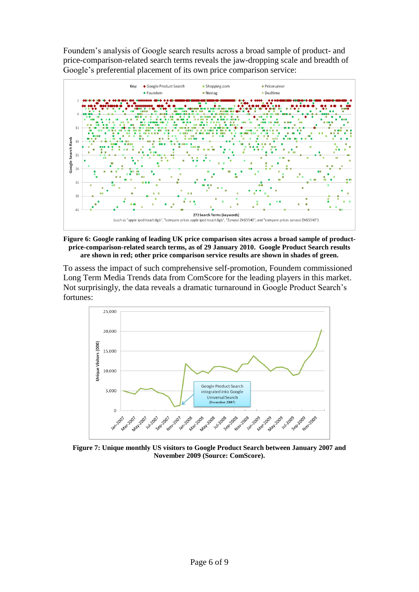Foundem's analysis of Google search results across a broad sample of product- and price-comparison-related search terms reveals the jaw-dropping scale and breadth of Google's preferential placement of its own price comparison service:



**Figure 6: Google ranking of leading UK price comparison sites across a broad sample of productprice-comparison-related search terms, as of 29 January 2010. Google Product Search results are shown in red; other price comparison service results are shown in shades of green.**

To assess the impact of such comprehensive self-promotion, Foundem commissioned Long Term Media Trends data from ComScore for the leading players in this market. Not surprisingly, the data reveals a dramatic turnaround in Google Product Search's fortunes:



**Figure 7: Unique monthly US visitors to Google Product Search between January 2007 and November 2009 (Source: ComScore).**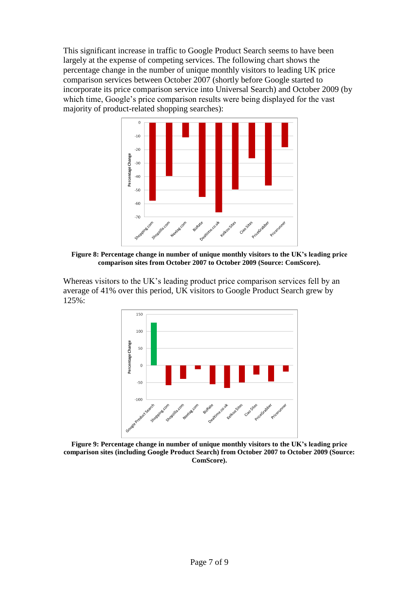This significant increase in traffic to Google Product Search seems to have been largely at the expense of competing services. The following chart shows the percentage change in the number of unique monthly visitors to leading UK price comparison services between October 2007 (shortly before Google started to incorporate its price comparison service into Universal Search) and October 2009 (by which time, Google's price comparison results were being displayed for the vast majority of product-related shopping searches):



**Figure 8: Percentage change in number of unique monthly visitors to the UK's leading price comparison sites from October 2007 to October 2009 (Source: ComScore).**

Whereas visitors to the UK's leading product price comparison services fell by an average of 41% over this period, UK visitors to Google Product Search grew by 125%:



**Figure 9: Percentage change in number of unique monthly visitors to the UK's leading price comparison sites (including Google Product Search) from October 2007 to October 2009 (Source: ComScore).**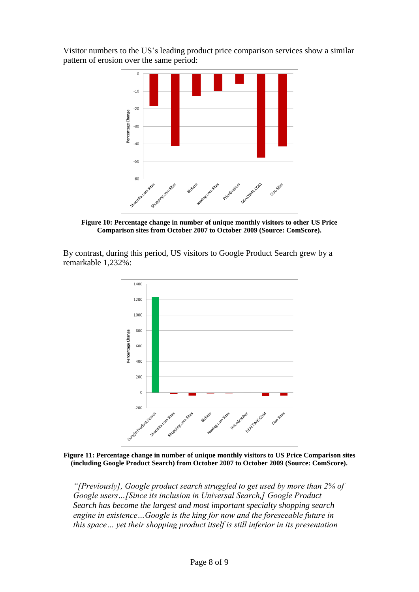Visitor numbers to the US's leading product price comparison services show a similar pattern of erosion over the same period:



**Figure 10: Percentage change in number of unique monthly visitors to other US Price Comparison sites from October 2007 to October 2009 (Source: ComScore).**

By contrast, during this period, US visitors to Google Product Search grew by a remarkable 1,232%:



**Figure 11: Percentage change in number of unique monthly visitors to US Price Comparison sites (including Google Product Search) from October 2007 to October 2009 (Source: ComScore).**

*"[Previously], Google product search struggled to get used by more than 2% of Google users…[Since its inclusion in Universal Search,] Google Product Search has become the largest and most important specialty shopping search engine in existence…Google is the king for now and the foreseeable future in this space… yet their shopping product itself is still inferior in its presentation*